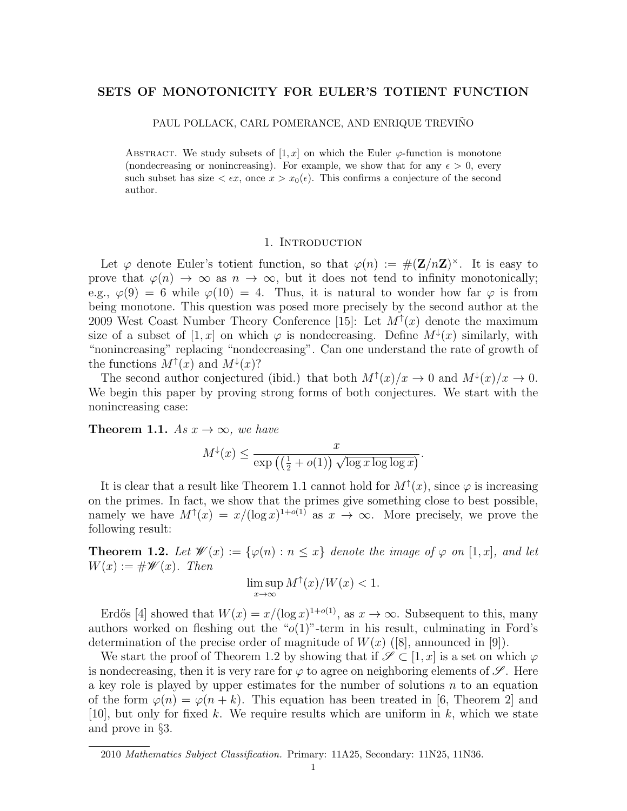# SETS OF MONOTONICITY FOR EULER'S TOTIENT FUNCTION

PAUL POLLACK, CARL POMERANCE, AND ENRIQUE TREVIÑO

ABSTRACT. We study subsets of  $[1, x]$  on which the Euler  $\varphi$ -function is monotone (nondecreasing or nonincreasing). For example, we show that for any  $\epsilon > 0$ , every such subset has size  $\langle \epsilon x, \text{ once } x > x_0(\epsilon)$ . This confirms a conjecture of the second author.

### 1. INTRODUCTION

Let  $\varphi$  denote Euler's totient function, so that  $\varphi(n) := \#(\mathbf{Z}/n\mathbf{Z})^{\times}$ . It is easy to prove that  $\varphi(n) \to \infty$  as  $n \to \infty$ , but it does not tend to infinity monotonically; e.g.,  $\varphi(9) = 6$  while  $\varphi(10) = 4$ . Thus, it is natural to wonder how far  $\varphi$  is from being monotone. This question was posed more precisely by the second author at the 2009 West Coast Number Theory Conference [15]: Let  $M^{\uparrow}(x)$  denote the maximum size of a subset of  $[1, x]$  on which  $\varphi$  is nondecreasing. Define  $M^{\downarrow}(x)$  similarly, with "nonincreasing" replacing "nondecreasing". Can one understand the rate of growth of the functions  $M^{\uparrow}(x)$  and  $M^{\downarrow}(x)$ ?

The second author conjectured (ibid.) that both  $M^{\uparrow}(x)/x \to 0$  and  $M^{\downarrow}(x)/x \to 0$ . We begin this paper by proving strong forms of both conjectures. We start with the nonincreasing case:

**Theorem 1.1.** As  $x \to \infty$ , we have

$$
M^{\downarrow}(x) \le \frac{x}{\exp\left(\left(\frac{1}{2} + o(1)\right) \sqrt{\log x \log \log x}\right)}.
$$

It is clear that a result like Theorem 1.1 cannot hold for  $M^{\uparrow}(x)$ , since  $\varphi$  is increasing on the primes. In fact, we show that the primes give something close to best possible, namely we have  $M^{\uparrow}(x) = x/(\log x)^{1+o(1)}$  as  $x \to \infty$ . More precisely, we prove the following result:

**Theorem 1.2.** Let  $\mathscr{W}(x) := \{\varphi(n) : n \leq x\}$  denote the image of  $\varphi$  on [1, x], and let  $W(x) := \# \mathscr{W}(x)$ . Then

$$
\limsup_{x \to \infty} M^{\uparrow}(x) / W(x) < 1.
$$

Erdős [4] showed that  $W(x) = x/(\log x)^{1+o(1)}$ , as  $x \to \infty$ . Subsequent to this, many authors worked on fleshing out the " $o(1)$ "-term in his result, culminating in Ford's determination of the precise order of magnitude of  $W(x)$  ([8], announced in [9]).

We start the proof of Theorem 1.2 by showing that if  $\mathscr{S} \subset [1, x]$  is a set on which  $\varphi$ is nondecreasing, then it is very rare for  $\varphi$  to agree on neighboring elements of  $\mathscr{S}$ . Here a key role is played by upper estimates for the number of solutions  $n$  to an equation of the form  $\varphi(n) = \varphi(n+k)$ . This equation has been treated in [6, Theorem 2] and [10], but only for fixed k. We require results which are uniform in  $k$ , which we state and prove in §3.

<sup>2010</sup> Mathematics Subject Classification. Primary: 11A25, Secondary: 11N25, 11N36.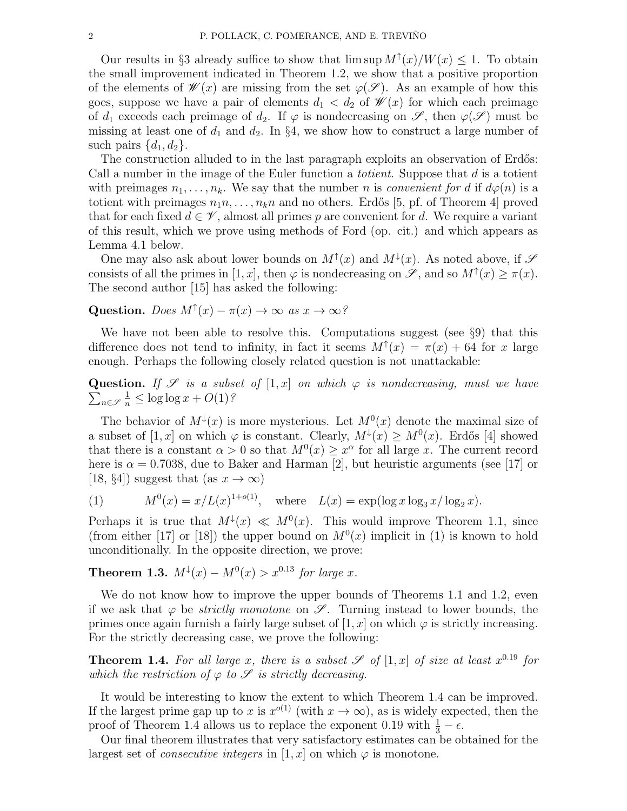Our results in §3 already suffice to show that  $\limsup M^{\uparrow}(x)/W(x) \leq 1$ . To obtain the small improvement indicated in Theorem 1.2, we show that a positive proportion of the elements of  $\mathscr{W}(x)$  are missing from the set  $\varphi(\mathscr{S})$ . As an example of how this goes, suppose we have a pair of elements  $d_1 < d_2$  of  $\mathscr{W}(x)$  for which each preimage of  $d_1$  exceeds each preimage of  $d_2$ . If  $\varphi$  is nondecreasing on  $\mathscr{S}$ , then  $\varphi(\mathscr{S})$  must be missing at least one of  $d_1$  and  $d_2$ . In §4, we show how to construct a large number of such pairs  $\{d_1, d_2\}.$ 

The construction alluded to in the last paragraph exploits an observation of Erdős: Call a number in the image of the Euler function a *totient*. Suppose that  $d$  is a totient with preimages  $n_1, \ldots, n_k$ . We say that the number n is convenient for d if  $d\varphi(n)$  is a totient with preimages  $n_1n, \ldots, n_kn$  and no others. Erdős [5, pf. of Theorem 4] proved that for each fixed  $d \in \mathscr{V}$ , almost all primes p are convenient for d. We require a variant of this result, which we prove using methods of Ford (op. cit.) and which appears as Lemma 4.1 below.

One may also ask about lower bounds on  $M^{\uparrow}(x)$  and  $M^{\downarrow}(x)$ . As noted above, if  $\mathscr S$ consists of all the primes in [1, x], then  $\varphi$  is nondecreasing on  $\mathscr{S}$ , and so  $M^{\uparrow}(x) \geq \pi(x)$ . The second author [15] has asked the following:

Question. Does  $M^{\uparrow}(x) - \pi(x) \rightarrow \infty$  as  $x \rightarrow \infty$ ?

We have not been able to resolve this. Computations suggest (see  $\S$ 9) that this difference does not tend to infinity, in fact it seems  $M^{\uparrow}(x) = \pi(x) + 64$  for x large enough. Perhaps the following closely related question is not unattackable:

Question. If  $\mathscr S$  is a subset of  $[1, x]$  on which  $\varphi$  is nondecreasing, must we have  $\sum_{n\in\mathscr{S}}$  $\frac{1}{n} \leq \log \log x + O(1)^{\frac{2}{n}}$ 

The behavior of  $M^{\downarrow}(x)$  is more mysterious. Let  $M^{0}(x)$  denote the maximal size of a subset of  $[1, x]$  on which  $\varphi$  is constant. Clearly,  $M^{\downarrow}(x) \geq M^{0}(x)$ . Erdős [4] showed that there is a constant  $\alpha > 0$  so that  $M^0(x) \geq x^{\alpha}$  for all large x. The current record here is  $\alpha = 0.7038$ , due to Baker and Harman [2], but heuristic arguments (see [17] or [18, §4]) suggest that (as  $x \to \infty$ )

(1) 
$$
M^0(x) = x/L(x)^{1+o(1)}
$$
, where  $L(x) = \exp(\log x \log_3 x/\log_2 x)$ .

Perhaps it is true that  $M^{\downarrow}(x) \ll M^{0}(x)$ . This would improve Theorem 1.1, since (from either [17] or [18]) the upper bound on  $M<sup>0</sup>(x)$  implicit in (1) is known to hold unconditionally. In the opposite direction, we prove:

**Theorem 1.3.**  $M^{\downarrow}(x) - M^0(x) > x^{0.13}$  for large x.

We do not know how to improve the upper bounds of Theorems 1.1 and 1.2, even if we ask that  $\varphi$  be *strictly monotone* on  $\mathscr{S}$ . Turning instead to lower bounds, the primes once again furnish a fairly large subset of  $[1, x]$  on which  $\varphi$  is strictly increasing. For the strictly decreasing case, we prove the following:

**Theorem 1.4.** For all large x, there is a subset  $\mathscr{S}$  of  $[1, x]$  of size at least  $x^{0.19}$  for which the restriction of  $\varphi$  to  $\mathscr S$  is strictly decreasing.

It would be interesting to know the extent to which Theorem 1.4 can be improved. If the largest prime gap up to x is  $x^{o(1)}$  (with  $x \to \infty$ ), as is widely expected, then the proof of Theorem 1.4 allows us to replace the exponent 0.19 with  $\frac{1}{3} - \epsilon$ .

Our final theorem illustrates that very satisfactory estimates can be obtained for the largest set of *consecutive integers* in [1, x] on which  $\varphi$  is monotone.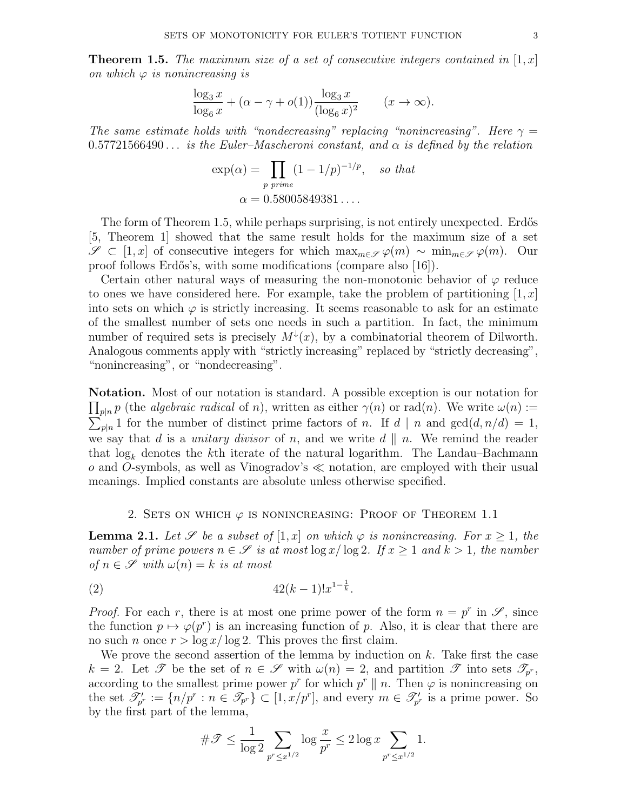**Theorem 1.5.** The maximum size of a set of consecutive integers contained in  $[1, x]$ on which  $\varphi$  is nonincreasing is

$$
\frac{\log_3 x}{\log_6 x} + (\alpha - \gamma + o(1)) \frac{\log_3 x}{(\log_6 x)^2} \qquad (x \to \infty).
$$

The same estimate holds with "nondecreasing" replacing "nonincreasing". Here  $\gamma =$  $0.57721566490...$  is the Euler–Mascheroni constant, and  $\alpha$  is defined by the relation

$$
\exp(\alpha) = \prod_{p \text{ prime}} (1 - 1/p)^{-1/p}, \text{ so that}
$$

$$
\alpha = 0.58005849381...
$$

The form of Theorem 1.5, while perhaps surprising, is not entirely unexpected. Erdős [5, Theorem 1] showed that the same result holds for the maximum size of a set  $\mathscr{S}$  ⊂  $[1, x]$  of consecutive integers for which max $_{m\in\mathscr{S}}\varphi(m)$  ∼ min $_{m\in\mathscr{S}}\varphi(m)$ . Our proof follows Erd˝os's, with some modifications (compare also [16]).

Certain other natural ways of measuring the non-monotonic behavior of  $\varphi$  reduce to ones we have considered here. For example, take the problem of partitioning  $[1, x]$ into sets on which  $\varphi$  is strictly increasing. It seems reasonable to ask for an estimate of the smallest number of sets one needs in such a partition. In fact, the minimum number of required sets is precisely  $M^{\downarrow}(x)$ , by a combinatorial theorem of Dilworth. Analogous comments apply with "strictly increasing" replaced by "strictly decreasing", "nonincreasing", or "nondecreasing".

Notation. Most of our notation is standard. A possible exception is our notation for  $\prod_{p|n} p$  (the *algebraic radical* of n), written as either  $\gamma(n)$  or rad(n). We write  $\omega(n) :=$  $\sum_{p|n} 1$  for the number of distinct prime factors of n. If d | n and  $gcd(d, n/d) = 1$ , we say that d is a *unitary divisor* of n, and we write  $d \parallel n$ . We remind the reader that  $log_k$  denotes the kth iterate of the natural logarithm. The Landau–Bachmann  $o$  and O-symbols, as well as Vinogradov's  $\ll$  notation, are employed with their usual meanings. Implied constants are absolute unless otherwise specified.

### 2. SETS ON WHICH  $\varphi$  is nonincreasing: Proof of Theorem 1.1

**Lemma 2.1.** Let  $\mathscr S$  be a subset of  $[1, x]$  on which  $\varphi$  is nonincreasing. For  $x \geq 1$ , the number of prime powers  $n \in \mathscr{S}$  is at most  $\log x / \log 2$ . If  $x \geq 1$  and  $k > 1$ , the number of  $n \in \mathscr{S}$  with  $\omega(n) = k$  is at most

$$
(2) \t\t\t\t\t42(k-1)!x^{1-\frac{1}{k}}.
$$

*Proof.* For each r, there is at most one prime power of the form  $n = p^r$  in  $\mathscr{S}$ , since the function  $p \mapsto \varphi(p^r)$  is an increasing function of p. Also, it is clear that there are no such *n* once  $r > \log x / \log 2$ . This proves the first claim.

We prove the second assertion of the lemma by induction on  $k$ . Take first the case  $k = 2$ . Let  $\mathscr T$  be the set of  $n \in \mathscr S$  with  $\omega(n) = 2$ , and partition  $\mathscr T$  into sets  $\mathscr T_{p^r}$ , according to the smallest prime power  $p^r$  for which  $p^r \parallel n$ . Then  $\varphi$  is nonincreasing on the set  $\mathscr{T}'_{p^r} := \{n/p^r : n \in \mathscr{T}_{p^r}\} \subset [1, x/p^r]$ , and every  $m \in \mathscr{T}'_{p^r}$  is a prime power. So by the first part of the lemma,

$$
\# \mathcal{T} \le \frac{1}{\log 2} \sum_{p^r \le x^{1/2}} \log \frac{x}{p^r} \le 2 \log x \sum_{p^r \le x^{1/2}} 1.
$$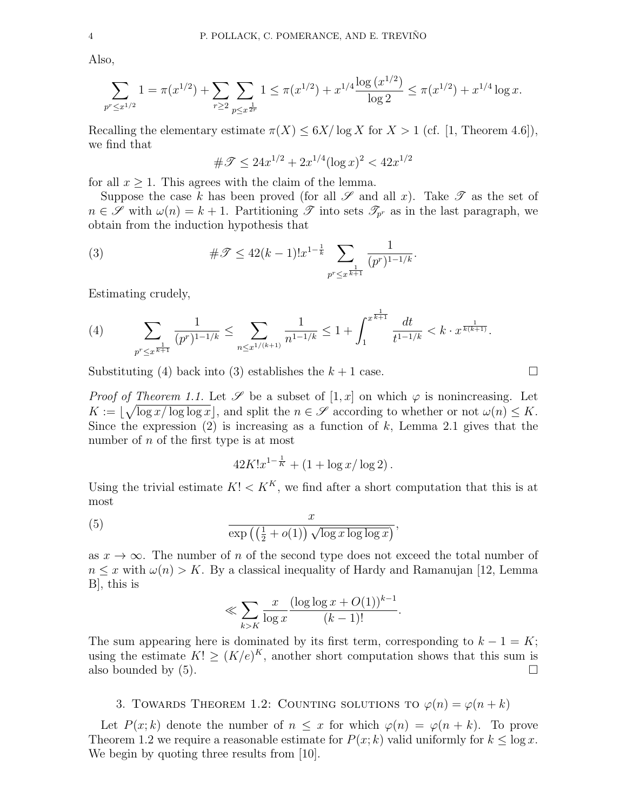Also,

$$
\sum_{p^r \le x^{1/2}} 1 = \pi(x^{1/2}) + \sum_{r \ge 2} \sum_{p \le x^{\frac{1}{2r}}} 1 \le \pi(x^{1/2}) + x^{1/4} \frac{\log(x^{1/2})}{\log 2} \le \pi(x^{1/2}) + x^{1/4} \log x.
$$

Recalling the elementary estimate  $\pi(X) \leq 6X/\log X$  for  $X > 1$  (cf. [1, Theorem 4.6]), we find that

$$
\#\mathcal{T} \le 24x^{1/2} + 2x^{1/4}(\log x)^2 < 42x^{1/2}
$$

for all  $x \geq 1$ . This agrees with the claim of the lemma.

Suppose the case k has been proved (for all  $\mathscr S$  and all x). Take  $\mathscr T$  as the set of  $n \in \mathscr{S}$  with  $\omega(n) = k + 1$ . Partitioning  $\mathscr{T}$  into sets  $\mathscr{T}_{p^r}$  as in the last paragraph, we obtain from the induction hypothesis that

(3) 
$$
\#\mathscr{T} \leq 42(k-1)!x^{1-\frac{1}{k}}\sum_{p^r\leq x^{\frac{1}{k+1}}} \frac{1}{(p^r)^{1-1/k}}.
$$

Estimating crudely,

(4) 
$$
\sum_{p^r \leq x^{\frac{1}{k+1}}} \frac{1}{(p^r)^{1-1/k}} \leq \sum_{n \leq x^{1/(k+1)}} \frac{1}{n^{1-1/k}} \leq 1 + \int_1^{x^{\frac{1}{k+1}}} \frac{dt}{t^{1-1/k}} < k \cdot x^{\frac{1}{k(k+1)}}.
$$

Substituting (4) back into (3) establishes the  $k + 1$  case.

*Proof of Theorem 1.1.* Let  $\mathscr S$  be a subset of  $[1, x]$  on which  $\varphi$  is nonincreasing. Let  $K := \lfloor \sqrt{\log x / \log \log x} \rfloor$ , and split the  $n \in \mathscr{S}$  according to whether or not  $\omega(n) \leq K$ . Since the expression  $(2)$  is increasing as a function of k, Lemma 2.1 gives that the number of n of the first type is at most

$$
42K!x^{1-\frac{1}{K}} + (1 + \log x/\log 2).
$$

Using the trivial estimate  $K! < K^K$ , we find after a short computation that this is at most

(5) 
$$
\frac{x}{\exp\left(\left(\frac{1}{2} + o(1)\right) \sqrt{\log x \log \log x}\right)},
$$

as  $x \to \infty$ . The number of n of the second type does not exceed the total number of  $n \leq x$  with  $\omega(n) > K$ . By a classical inequality of Hardy and Ramanujan [12, Lemma B], this is

$$
\ll \sum_{k>K} \frac{x}{\log x} \frac{(\log \log x + O(1))^{k-1}}{(k-1)!}.
$$

The sum appearing here is dominated by its first term, corresponding to  $k - 1 = K$ ; using the estimate  $K! \geq (K/e)^K$ , another short computation shows that this sum is also bounded by  $(5)$ .

3. TOWARDS THEOREM 1.2: COUNTING SOLUTIONS TO  $\varphi(n) = \varphi(n + k)$ 

Let  $P(x; k)$  denote the number of  $n \leq x$  for which  $\varphi(n) = \varphi(n+k)$ . To prove Theorem 1.2 we require a reasonable estimate for  $P(x; k)$  valid uniformly for  $k \leq \log x$ . We begin by quoting three results from [10].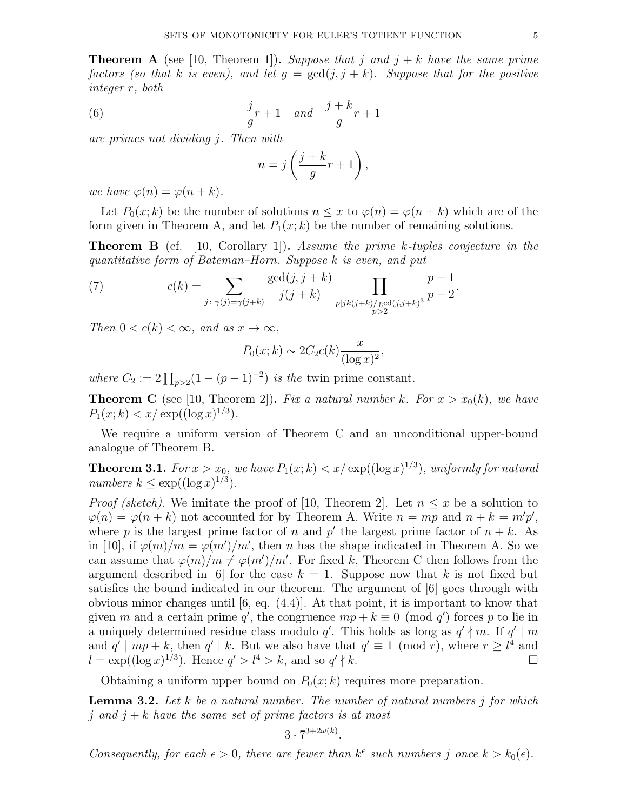**Theorem A** (see [10, Theorem 1]). Suppose that j and  $j + k$  have the same prime factors (so that k is even), and let  $q = \gcd(j, j + k)$ . Suppose that for the positive integer r, both

(6) 
$$
\frac{j}{g}r + 1 \quad and \quad \frac{j+k}{g}r + 1
$$

are primes not dividing j. Then with

$$
n = j\left(\frac{j+k}{g}r + 1\right),\,
$$

we have  $\varphi(n) = \varphi(n+k)$ .

Let  $P_0(x; k)$  be the number of solutions  $n \leq x$  to  $\varphi(n) = \varphi(n+k)$  which are of the form given in Theorem A, and let  $P_1(x; k)$  be the number of remaining solutions.

**Theorem B** (cf. [10, Corollary 1]). Assume the prime k-tuples conjecture in the quantitative form of Bateman–Horn. Suppose k is even, and put

(7) 
$$
c(k) = \sum_{j:\ \gamma(j)=\gamma(j+k)} \frac{\gcd(j,j+k)}{j(j+k)} \prod_{\substack{p|jk(j+k)/\gcd(j,j+k)^3\\p>2}} \frac{p-1}{p-2}.
$$

Then  $0 < c(k) < \infty$ , and as  $x \to \infty$ ,

$$
P_0(x;k) \sim 2C_2c(k)\frac{x}{(\log x)^2},
$$

where  $C_2 := 2 \prod_{p>2} (1-(p-1)^{-2})$  is the twin prime constant.

**Theorem C** (see [10, Theorem 2]). Fix a natural number k. For  $x > x_0(k)$ , we have  $P_1(x;k) < x/\exp((\log x)^{1/3}).$ 

We require a uniform version of Theorem C and an unconditional upper-bound analogue of Theorem B.

**Theorem 3.1.** For  $x > x_0$ , we have  $P_1(x;k) < x/\exp((\log x)^{1/3})$ , uniformly for natural numbers  $k \leq \exp((\log x)^{1/3})$ .

*Proof (sketch)*. We imitate the proof of [10, Theorem 2]. Let  $n \leq x$  be a solution to  $\varphi(n) = \varphi(n+k)$  not accounted for by Theorem A. Write  $n = mp$  and  $n+k = m'p'$ , where p is the largest prime factor of n and p' the largest prime factor of  $n + k$ . As in [10], if  $\varphi(m)/m = \varphi(m')/m'$ , then n has the shape indicated in Theorem A. So we can assume that  $\varphi(m)/m \neq \varphi(m')/m'$ . For fixed k, Theorem C then follows from the argument described in [6] for the case  $k = 1$ . Suppose now that k is not fixed but satisfies the bound indicated in our theorem. The argument of [6] goes through with obvious minor changes until  $[6, \text{eq. } (4.4)]$ . At that point, it is important to know that given m and a certain prime q', the congruence  $mp + k \equiv 0 \pmod{q'}$  forces p to lie in a uniquely determined residue class modulo q'. This holds as long as  $q' \nmid m$ . If  $q' \mid m$ and  $q' \mid mp + k$ , then  $q' \mid k$ . But we also have that  $q' \equiv 1 \pmod{r}$ , where  $r \geq l^4$  and  $l = \exp((\log x)^{1/3})$ . Hence  $q' > l^4 > k$ , and so q'  $k.$ 

Obtaining a uniform upper bound on  $P_0(x; k)$  requires more preparation.

**Lemma 3.2.** Let  $k$  be a natural number. The number of natural numbers  $j$  for which j and  $j + k$  have the same set of prime factors is at most

$$
3\cdot 7^{3+2\omega(k)}.
$$

Consequently, for each  $\epsilon > 0$ , there are fewer than  $k^{\epsilon}$  such numbers j once  $k > k_0(\epsilon)$ .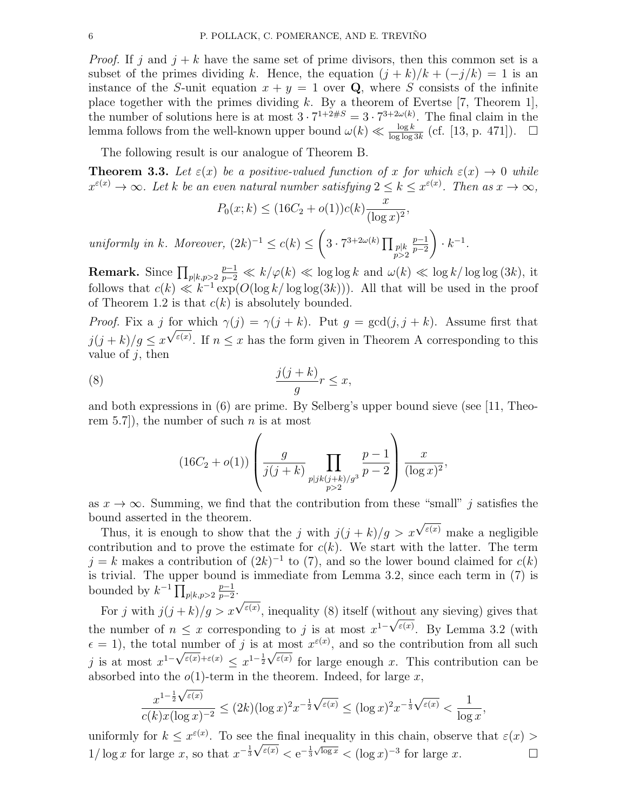*Proof.* If j and  $j + k$  have the same set of prime divisors, then this common set is a subset of the primes dividing k. Hence, the equation  $(j + k)/k + (-j/k) = 1$  is an instance of the S-unit equation  $x + y = 1$  over Q, where S consists of the infinite place together with the primes dividing  $k$ . By a theorem of Evertse [7, Theorem 1], the number of solutions here is at most  $3 \cdot 7^{1+2\#S} = 3 \cdot 7^{3+2\omega(k)}$ . The final claim in the lemma follows from the well-known upper bound  $\omega(k) \ll \frac{\log k}{\log \log 3k}$  (cf. [13, p. 471]).  $\Box$ 

The following result is our analogue of Theorem B.

**Theorem 3.3.** Let  $\varepsilon(x)$  be a positive-valued function of x for which  $\varepsilon(x) \to 0$  while  $x^{\varepsilon(x)} \to \infty$ . Let k be an even natural number satisfying  $2 \leq k \leq x^{\varepsilon(x)}$ . Then as  $x \to \infty$ ,

$$
P_0(x;k) \le (16C_2 + o(1))c(k)\frac{x}{(\log x)^2},
$$

uniformly in k. Moreover,  $(2k)^{-1} \le c(k) \le \left($  $3\cdot 7^{3+2\omega(k)}\prod p\vert k}$  $p>2$  $p-1$  $p-2$  $\setminus$  $\cdot k^{-1}$ .

**Remark.** Since  $\prod_{p|k, p>2}$  $\frac{p-1}{p-2} \ll k/\varphi(k) \ll \log \log k$  and  $\omega(k) \ll \log k/\log \log (3k)$ , it follows that  $c(k) \ll k^{-1} \exp(O(\log k/\log \log(3k)))$ . All that will be used in the proof of Theorem 1.2 is that  $c(k)$  is absolutely bounded.

*Proof.* Fix a j for which  $\gamma(j) = \gamma(j+k)$ . Put  $g = \gcd(j, j+k)$ . Assume first that  $j(j+k)/g \leq x^{\sqrt{\varepsilon(x)}}$ . If  $n \leq x$  has the form given in Theorem A corresponding to this value of  $j$ , then

$$
(8) \qquad \qquad \frac{j(j+k)}{g}r \leq x,
$$

and both expressions in (6) are prime. By Selberg's upper bound sieve (see [11, Theorem 5.7), the number of such *n* is at most

$$
(16C2 + o(1)) \left( \frac{g}{j(j+k)} \prod_{\substack{p \mid jk(j+k)/g^3 \\ p>2}} \frac{p-1}{p-2} \right) \frac{x}{(\log x)^2},
$$

as  $x \to \infty$ . Summing, we find that the contribution from these "small" j satisfies the bound asserted in the theorem. √

Thus, it is enough to show that the j with  $j(j + k)/g > x$  $\varepsilon(x)$  make a negligible contribution and to prove the estimate for  $c(k)$ . We start with the latter. The term  $j = k$  makes a contribution of  $(2k)^{-1}$  to  $(7)$ , and so the lower bound claimed for  $c(k)$ is trivial. The upper bound is immediate from Lemma 3.2, since each term in  $(7)$  is bounded by  $k^{-1} \prod_{p \mid k, p > 2}$  $p-1$  $\frac{p-1}{p-2}$ .

For j with  $j(j+k)/g > x$  $\sqrt{\epsilon(x)}$ , inequality (8) itself (without any sieving) gives that the number of  $n \leq x$  corresponding to j is at most  $x^{1-\sqrt{\varepsilon(x)}}$ . By Lemma 3.2 (with  $\epsilon = 1$ , the total number of j is at most  $x^{\epsilon(x)}$ , and so the contribution from all such j is at most  $x^{1-\sqrt{\varepsilon(x)}+\varepsilon(x)} \leq x^{1-\frac{1}{2}\sqrt{\varepsilon(x)}}$  for large enough x. This contribution can be absorbed into the  $o(1)$ -term in the theorem. Indeed, for large x, √

$$
\frac{x^{1-\frac{1}{2}\sqrt{\varepsilon(x)}}}{c(k)x(\log x)^{-2}} \le (2k)(\log x)^2 x^{-\frac{1}{2}\sqrt{\varepsilon(x)}} \le (\log x)^2 x^{-\frac{1}{3}\sqrt{\varepsilon(x)}} < \frac{1}{\log x},
$$

uniformly for  $k \leq x^{\varepsilon(x)}$ . To see the final inequality in this chain, observe that  $\varepsilon(x)$  $1/\log x$  for large x, so that  $x^{-\frac{1}{3}\sqrt{\varepsilon(x)}} < e^{-\frac{1}{3}}$  $\sqrt{\log x} < (\log x)^{-3}$  for large x.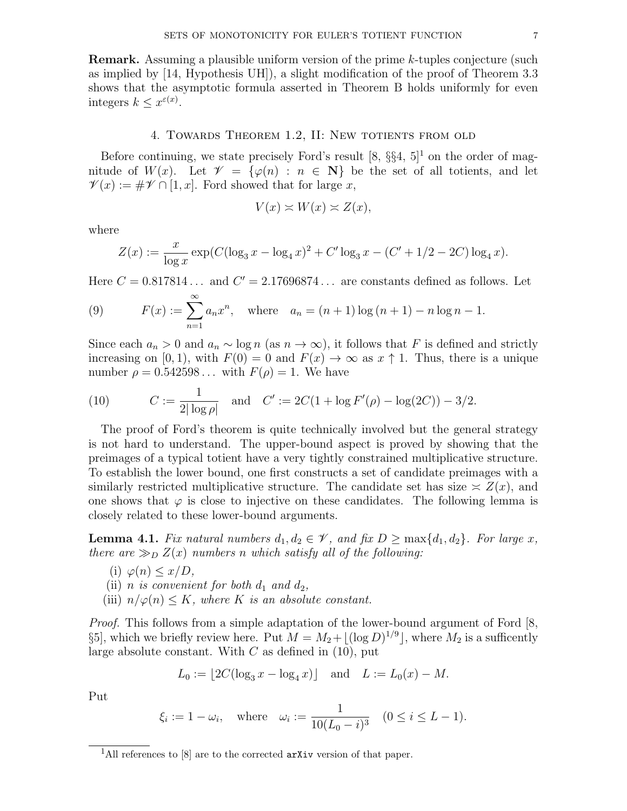Remark. Assuming a plausible uniform version of the prime k-tuples conjecture (such as implied by [14, Hypothesis UH]), a slight modification of the proof of Theorem 3.3 shows that the asymptotic formula asserted in Theorem B holds uniformly for even integers  $k \leq x^{\varepsilon(x)}$ .

### 4. Towards Theorem 1.2, II: New totients from old

Before continuing, we state precisely Ford's result  $[8, \S\S4, 5]^1$  on the order of magnitude of  $W(x)$ . Let  $\mathcal{V} = {\varphi(n) : n \in \mathbb{N}}$  be the set of all totients, and let  $\mathscr{V}(x) := \# \mathscr{V} \cap [1, x]$ . Ford showed that for large x,

$$
V(x) \simeq W(x) \simeq Z(x),
$$

where

$$
Z(x) := \frac{x}{\log x} \exp(C(\log_3 x - \log_4 x)^2 + C' \log_3 x - (C' + 1/2 - 2C) \log_4 x).
$$

Here  $C = 0.817814...$  and  $C' = 2.17696874...$  are constants defined as follows. Let

(9) 
$$
F(x) := \sum_{n=1}^{\infty} a_n x^n, \text{ where } a_n = (n+1) \log (n+1) - n \log n - 1.
$$

Since each  $a_n > 0$  and  $a_n \sim \log n$  (as  $n \to \infty$ ), it follows that F is defined and strictly increasing on [0, 1), with  $F(0) = 0$  and  $F(x) \to \infty$  as  $x \uparrow 1$ . Thus, there is a unique number  $\rho = 0.542598...$  with  $F(\rho) = 1$ . We have

(10) 
$$
C := \frac{1}{2|\log \rho|} \text{ and } C' := 2C(1 + \log F'(\rho) - \log(2C)) - 3/2.
$$

The proof of Ford's theorem is quite technically involved but the general strategy is not hard to understand. The upper-bound aspect is proved by showing that the preimages of a typical totient have a very tightly constrained multiplicative structure. To establish the lower bound, one first constructs a set of candidate preimages with a similarly restricted multiplicative structure. The candidate set has size  $\approx Z(x)$ , and one shows that  $\varphi$  is close to injective on these candidates. The following lemma is closely related to these lower-bound arguments.

**Lemma 4.1.** Fix natural numbers  $d_1, d_2 \in \mathcal{V}$ , and fix  $D \ge \max\{d_1, d_2\}$ . For large x, there are  $\gg_{D} Z(x)$  numbers n which satisfy all of the following:

(i) 
$$
\varphi(n) \leq x/D
$$
,

- (ii) *n* is convenient for both  $d_1$  and  $d_2$ ,
- (iii)  $n/\varphi(n) \leq K$ , where K is an absolute constant.

Proof. This follows from a simple adaptation of the lower-bound argument of Ford [8, §5], which we briefly review here. Put  $M = M_2 + \lfloor (\log D)^{1/9} \rfloor$ , where  $M_2$  is a sufficently large absolute constant. With  $C$  as defined in (10), put

$$
L_0 := [2C(\log_3 x - \log_4 x)]
$$
 and  $L := L_0(x) - M$ .

Put

$$
\xi_i := 1 - \omega_i
$$
, where  $\omega_i := \frac{1}{10(L_0 - i)^3}$   $(0 \le i \le L - 1)$ .

<sup>&</sup>lt;sup>1</sup>All references to  $[8]$  are to the corrected  $arXiv$  version of that paper.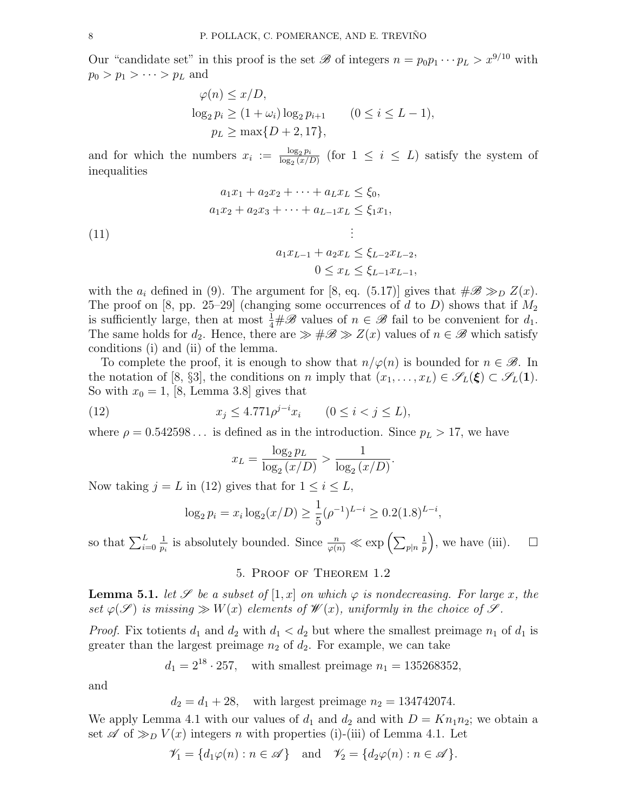Our "candidate set" in this proof is the set  $\mathscr{B}$  of integers  $n = p_0 p_1 \cdots p_L > x^{9/10}$  with  $p_0 > p_1 > \cdots > p_L$  and

$$
\varphi(n) \le x/D,
$$
  
\n
$$
\log_2 p_i \ge (1 + \omega_i) \log_2 p_{i+1} \qquad (0 \le i \le L - 1),
$$
  
\n
$$
p_L \ge \max\{D + 2, 17\},
$$

and for which the numbers  $x_i := \frac{\log_2 p_i}{\log_2 (x_i)}$  $\frac{\log_2 p_i}{\log_2 (x/D)}$  (for  $1 \leq i \leq L$ ) satisfy the system of inequalities

(11)  
\n
$$
a_1x_1 + a_2x_2 + \cdots + a_Lx_L \le \xi_0,
$$
\n
$$
a_1x_2 + a_2x_3 + \cdots + a_{L-1}x_L \le \xi_1x_1,
$$
\n
$$
\vdots
$$
\n
$$
a_1x_{L-1} + a_2x_L \le \xi_{L-2}x_{L-2},
$$
\n
$$
0 \le x_L \le \xi_{L-1}x_{L-1},
$$

with the  $a_i$  defined in (9). The argument for [8, eq. (5.17)] gives that  $\#\mathscr{B} \gg_D Z(x)$ . The proof on [8, pp. 25–29] (changing some occurrences of d to D) shows that if  $M_2$ is sufficiently large, then at most  $\frac{1}{4} \# \mathscr{B}$  values of  $n \in \mathscr{B}$  fail to be convenient for  $d_1$ . The same holds for  $d_2$ . Hence, there are  $\gg \#\mathscr{B} \gg Z(x)$  values of  $n \in \mathscr{B}$  which satisfy conditions (i) and (ii) of the lemma.

To complete the proof, it is enough to show that  $n/\varphi(n)$  is bounded for  $n \in \mathscr{B}$ . In the notation of [8, §3], the conditions on n imply that  $(x_1, \ldots, x_L) \in \mathscr{S}_L(\xi) \subset \mathscr{S}_L(1)$ . So with  $x_0 = 1$ , [8, Lemma 3.8] gives that

(12) 
$$
x_j \le 4.771 \rho^{j-i} x_i \qquad (0 \le i < j \le L),
$$

where  $\rho = 0.542598...$  is defined as in the introduction. Since  $p_L > 17$ , we have

$$
x_L = \frac{\log_2 p_L}{\log_2 (x/D)} > \frac{1}{\log_2 (x/D)}.
$$

Now taking  $j = L$  in (12) gives that for  $1 \leq i \leq L$ ,

$$
\log_2 p_i = x_i \log_2(x/D) \ge \frac{1}{5} (\rho^{-1})^{L-i} \ge 0.2(1.8)^{L-i},
$$

so that  $\sum_{i=0}^{L}$ 1  $\frac{1}{p_i}$  is absolutely bounded. Since  $\frac{n}{\varphi(n)} \ll \exp\left(\sum_{p|n}$ 1  $(\frac{1}{p})$ , we have (iii).  $\square$ 

# 5. Proof of Theorem 1.2

**Lemma 5.1.** let S be a subset of  $[1, x]$  on which  $\varphi$  is nondecreasing. For large x, the set  $\varphi(\mathscr{S})$  is missing  $\gg W(x)$  elements of  $\mathscr{W}(x)$ , uniformly in the choice of  $\mathscr{S}$ .

*Proof.* Fix totients  $d_1$  and  $d_2$  with  $d_1 < d_2$  but where the smallest preimage  $n_1$  of  $d_1$  is greater than the largest preimage  $n_2$  of  $d_2$ . For example, we can take

$$
d_1 = 2^{18} \cdot 257
$$
, with smallest preimage  $n_1 = 135268352$ ,

and

 $d_2 = d_1 + 28$ , with largest preimage  $n_2 = 134742074$ .

We apply Lemma 4.1 with our values of  $d_1$  and  $d_2$  and with  $D = Kn_1n_2$ ; we obtain a set  $\mathscr A$  of  $\gg_D V(x)$  integers n with properties (i)-(iii) of Lemma 4.1. Let

$$
\mathscr{V}_1 = \{d_1\varphi(n) : n \in \mathscr{A}\} \text{ and } \mathscr{V}_2 = \{d_2\varphi(n) : n \in \mathscr{A}\}.
$$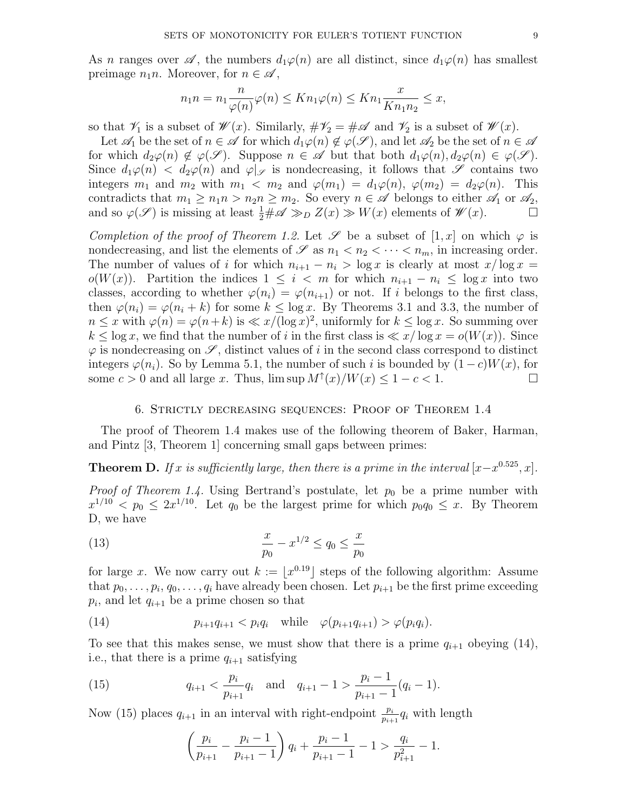$$
n_1n=n_1\frac{n}{\varphi(n)}\varphi(n)\leq Kn_1\varphi(n)\leq Kn_1\frac{x}{Kn_1n_2}\leq x,
$$

so that  $\mathscr{V}_1$  is a subset of  $\mathscr{W}(x)$ . Similarly,  $\#\mathscr{V}_2 = \#\mathscr{A}$  and  $\mathscr{V}_2$  is a subset of  $\mathscr{W}(x)$ .

Let  $\mathscr{A}_1$  be the set of  $n \in \mathscr{A}$  for which  $d_1\varphi(n) \notin \varphi(\mathscr{S})$ , and let  $\mathscr{A}_2$  be the set of  $n \in \mathscr{A}$ for which  $d_2\varphi(n) \notin \varphi(\mathscr{S})$ . Suppose  $n \in \mathscr{A}$  but that both  $d_1\varphi(n), d_2\varphi(n) \in \varphi(\mathscr{S})$ . Since  $d_1\varphi(n) < d_2\varphi(n)$  and  $\varphi|_{\mathscr{S}}$  is nondecreasing, it follows that  $\mathscr{S}$  contains two integers  $m_1$  and  $m_2$  with  $m_1 < m_2$  and  $\varphi(m_1) = d_1\varphi(n)$ ,  $\varphi(m_2) = d_2\varphi(n)$ . This contradicts that  $m_1 \ge n_1 n > n_2 n \ge m_2$ . So every  $n \in \mathscr{A}$  belongs to either  $\mathscr{A}_1$  or  $\mathscr{A}_2$ , and so  $\varphi(\mathscr{S})$  is missing at least  $\frac{1}{2} \# \mathscr{A} \gg_D Z(x) \gg W(x)$  elements of  $\mathscr{W}(x)$ .

Completion of the proof of Theorem 1.2. Let  $\mathscr S$  be a subset of  $[1, x]$  on which  $\varphi$  is nondecreasing, and list the elements of  $\mathscr{S}$  as  $n_1 < n_2 < \cdots < n_m$ , in increasing order. The number of values of i for which  $n_{i+1} - n_i > \log x$  is clearly at most  $x/\log x =$  $o(W(x))$ . Partition the indices  $1 \leq i < m$  for which  $n_{i+1} - n_i \leq \log x$  into two classes, according to whether  $\varphi(n_i) = \varphi(n_{i+1})$  or not. If i belongs to the first class, then  $\varphi(n_i) = \varphi(n_i + k)$  for some  $k \leq \log x$ . By Theorems 3.1 and 3.3, the number of  $n \leq x$  with  $\varphi(n) = \varphi(n+k)$  is  $\ll x/(\log x)^2$ , uniformly for  $k \leq \log x$ . So summing over  $k \leq \log x$ , we find that the number of i in the first class is  $\ll x/\log x = o(W(x))$ . Since  $\varphi$  is nondecreasing on  $\mathscr{S}$ , distinct values of i in the second class correspond to distinct integers  $\varphi(n_i)$ . So by Lemma 5.1, the number of such i is bounded by  $(1-c)W(x)$ , for some  $c > 0$  and all large x. Thus,  $\limsup M^{\uparrow}(x)/W(x) \leq 1 - c < 1.$ 

### 6. Strictly decreasing sequences: Proof of Theorem 1.4

The proof of Theorem 1.4 makes use of the following theorem of Baker, Harman, and Pintz [3, Theorem 1] concerning small gaps between primes:

**Theorem D.** If x is sufficiently large, then there is a prime in the interval  $[x-x^{0.525},x]$ .

*Proof of Theorem 1.4.* Using Bertrand's postulate, let  $p_0$  be a prime number with  $x^{1/10} < p_0 \leq 2x^{1/10}$ . Let  $q_0$  be the largest prime for which  $p_0q_0 \leq x$ . By Theorem D, we have

(13) 
$$
\frac{x}{p_0} - x^{1/2} \le q_0 \le \frac{x}{p_0}
$$

for large x. We now carry out  $k := \lfloor x^{0.19} \rfloor$  steps of the following algorithm: Assume that  $p_0, \ldots, p_i, q_0, \ldots, q_i$  have already been chosen. Let  $p_{i+1}$  be the first prime exceeding  $p_i$ , and let  $q_{i+1}$  be a prime chosen so that

(14) 
$$
p_{i+1}q_{i+1} < p_iq_i
$$
 while  $\varphi(p_{i+1}q_{i+1}) > \varphi(p_iq_i)$ .

To see that this makes sense, we must show that there is a prime  $q_{i+1}$  obeying (14), i.e., that there is a prime  $q_{i+1}$  satisfying

(15) 
$$
q_{i+1} < \frac{p_i}{p_{i+1}} q_i \quad \text{and} \quad q_{i+1} - 1 > \frac{p_i - 1}{p_{i+1} - 1} (q_i - 1).
$$

Now (15) places  $q_{i+1}$  in an interval with right-endpoint  $\frac{p_i}{p_{i+1}}q_i$  with length

$$
\left(\frac{p_i}{p_{i+1}} - \frac{p_i - 1}{p_{i+1} - 1}\right)q_i + \frac{p_i - 1}{p_{i+1} - 1} - 1 > \frac{q_i}{p_{i+1}^2} - 1.
$$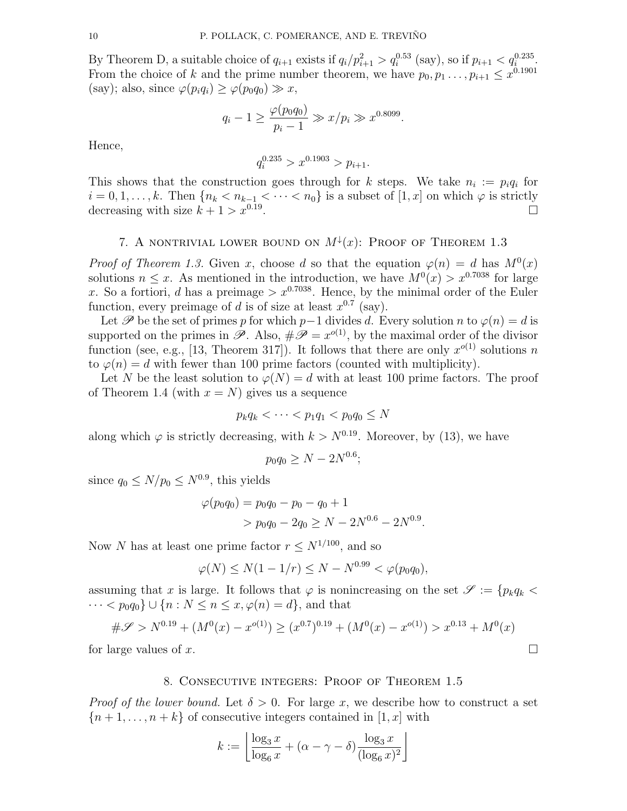By Theorem D, a suitable choice of  $q_{i+1}$  exists if  $q_i/p_{i+1}^2 > q_i^{0.53}$  (say), so if  $p_{i+1} < q_i^{0.235}$ . From the choice of k and the prime number theorem, we have  $p_0, p_1, \ldots, p_{i+1} \leq x^{0.1901}$ (say); also, since  $\varphi(p_i q_i) \geq \varphi(p_0 q_0) \gg x$ ,

$$
q_i - 1 \ge \frac{\varphi(p_0 q_0)}{p_i - 1} \gg x/p_i \gg x^{0.8099}.
$$

Hence,

$$
q_i^{0.235} > x^{0.1903} > p_{i+1}.
$$

This shows that the construction goes through for k steps. We take  $n_i := p_i q_i$  for  $i = 0, 1, \ldots, k$ . Then  $\{n_k < n_{k-1} < \cdots < n_0\}$  is a subset of  $[1, x]$  on which  $\varphi$  is strictly decreasing with size  $k + 1 > x^{0.19}$ . .

# 7. A NONTRIVIAL LOWER BOUND ON  $M^{\downarrow}(x)$ : Proof of Theorem 1.3

*Proof of Theorem 1.3.* Given x, choose d so that the equation  $\varphi(n) = d$  has  $M^{0}(x)$ solutions  $n \leq x$ . As mentioned in the introduction, we have  $M^{0}(x) > x^{0.7038}$  for large x. So a fortiori, d has a preimage  $> x^{0.7038}$ . Hence, by the minimal order of the Euler function, every preimage of d is of size at least  $x^{0.7}$  (say).

Let  $\mathscr P$  be the set of primes p for which p−1 divides d. Every solution n to  $\varphi(n) = d$  is supported on the primes in  $\mathscr{P}$ . Also,  $\#\mathscr{P} = x^{o(1)}$ , by the maximal order of the divisor function (see, e.g., [13, Theorem 317]). It follows that there are only  $x^{o(1)}$  solutions n to  $\varphi(n) = d$  with fewer than 100 prime factors (counted with multiplicity).

Let N be the least solution to  $\varphi(N) = d$  with at least 100 prime factors. The proof of Theorem 1.4 (with  $x = N$ ) gives us a sequence

$$
p_k q_k < \cdots < p_1 q_1 < p_0 q_0 \leq N
$$

along which  $\varphi$  is strictly decreasing, with  $k > N^{0.19}$ . Moreover, by (13), we have

$$
p_0 q_0 \ge N - 2N^{0.6};
$$

since  $q_0 \leq N/p_0 \leq N^{0.9}$ , this yields

$$
\varphi(p_0 q_0) = p_0 q_0 - p_0 - q_0 + 1
$$
  
>  $p_0 q_0 - 2q_0 \ge N - 2N^{0.6} - 2N^{0.9}$ .

Now N has at least one prime factor  $r \leq N^{1/100}$ , and so

$$
\varphi(N) \le N(1 - 1/r) \le N - N^{0.99} < \varphi(p_0 q_0),
$$

assuming that x is large. It follows that  $\varphi$  is nonincreasing on the set  $\mathscr{S} := \{p_k q_k \leq$  $\cdots < p_0 q_0$   $\cup$  {n :  $N \le n \le x$ ,  $\varphi(n) = d$ }, and that

$$
\#\mathscr{S} > N^{0.19} + (M^0(x) - x^{o(1)}) \ge (x^{0.7})^{0.19} + (M^0(x) - x^{o(1)}) > x^{0.13} + M^0(x)
$$

for large values of x.  $\Box$ 

### 8. Consecutive integers: Proof of Theorem 1.5

*Proof of the lower bound.* Let  $\delta > 0$ . For large x, we describe how to construct a set  ${n+1,\ldots,n+k}$  of consecutive integers contained in [1, x] with

$$
k := \left\lfloor \frac{\log_3 x}{\log_6 x} + (\alpha - \gamma - \delta) \frac{\log_3 x}{(\log_6 x)^2} \right\rfloor
$$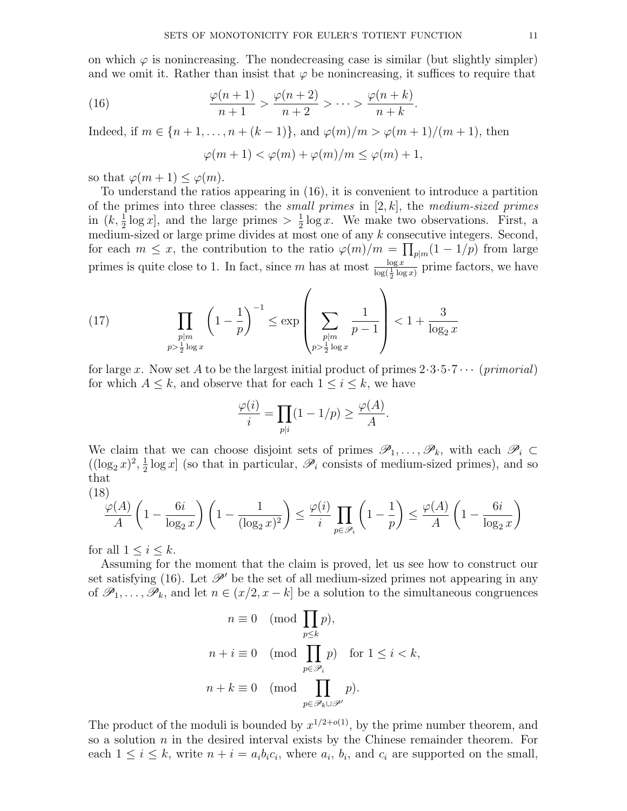on which  $\varphi$  is nonincreasing. The nondecreasing case is similar (but slightly simpler) and we omit it. Rather than insist that  $\varphi$  be nonincreasing, it suffices to require that

.

(16) 
$$
\frac{\varphi(n+1)}{n+1} > \frac{\varphi(n+2)}{n+2} > \cdots > \frac{\varphi(n+k)}{n+k}
$$

Indeed, if  $m \in \{n+1, ..., n+(k-1)\}\$ , and  $\varphi(m)/m > \varphi(m+1)/(m+1)$ , then

$$
\varphi(m+1) < \varphi(m) + \varphi(m)/m \le \varphi(m) + 1,
$$

so that  $\varphi(m+1) \leq \varphi(m)$ .

To understand the ratios appearing in (16), it is convenient to introduce a partition of the primes into three classes: the *small primes* in  $[2, k]$ , the *medium-sized primes* in  $(k, \frac{1}{2} \log x]$ , and the large primes  $> \frac{1}{2}$  $\frac{1}{2} \log x$ . We make two observations. First, a medium-sized or large prime divides at most one of any k consecutive integers. Second, for each  $m \leq x$ , the contribution to the ratio  $\varphi(m)/m = \prod_{p|m}(1 - 1/p)$  from large primes is quite close to 1. In fact, since m has at most  $\frac{\log x}{\log(\frac{1}{2}\log x)}$  prime factors, we have

(17) 
$$
\prod_{\substack{p|m \ p> \frac{1}{2} \log x}} \left(1 - \frac{1}{p}\right)^{-1} \le \exp\left(\sum_{\substack{p|m \ p> \frac{1}{2} \log x}} \frac{1}{p-1}\right) < 1 + \frac{3}{\log_2 x}
$$

for large x. Now set A to be the largest initial product of primes  $2 \cdot 3 \cdot 5 \cdot 7 \cdots$  (primorial) for which  $A \leq k$ , and observe that for each  $1 \leq i \leq k$ , we have

$$
\frac{\varphi(i)}{i} = \prod_{p|i} (1 - 1/p) \ge \frac{\varphi(A)}{A}.
$$

We claim that we can choose disjoint sets of primes  $\mathscr{P}_1, \ldots, \mathscr{P}_k$ , with each  $\mathscr{P}_i \subset$  $((\log_2 x)^2, \frac{1}{2})$  $\frac{1}{2}$  log x] (so that in particular,  $\mathscr{P}_i$  consists of medium-sized primes), and so that

(18)

$$
\frac{\varphi(A)}{A} \left(1 - \frac{6i}{\log_2 x}\right) \left(1 - \frac{1}{(\log_2 x)^2}\right) \le \frac{\varphi(i)}{i} \prod_{p \in \mathscr{P}_i} \left(1 - \frac{1}{p}\right) \le \frac{\varphi(A)}{A} \left(1 - \frac{6i}{\log_2 x}\right)
$$

for all  $1 \leq i \leq k$ .

Assuming for the moment that the claim is proved, let us see how to construct our set satisfying (16). Let  $\mathscr{P}'$  be the set of all medium-sized primes not appearing in any of  $\mathscr{P}_1,\ldots,\mathscr{P}_k$ , and let  $n \in (x/2, x - k]$  be a solution to the simultaneous congruences

$$
n \equiv 0 \pmod{\prod_{p\leq k} p},
$$
  
\n
$$
n + i \equiv 0 \pmod{\prod_{p\in \mathscr{P}_i} p} \text{ for } 1 \leq i < k,
$$
  
\n
$$
n + k \equiv 0 \pmod{\prod_{p\in \mathscr{P}_k \cup \mathscr{P}'}} p}.
$$

The product of the moduli is bounded by  $x^{1/2+o(1)}$ , by the prime number theorem, and so a solution  $n$  in the desired interval exists by the Chinese remainder theorem. For each  $1 \leq i \leq k$ , write  $n + i = a_i b_i c_i$ , where  $a_i, b_i$ , and  $c_i$  are supported on the small,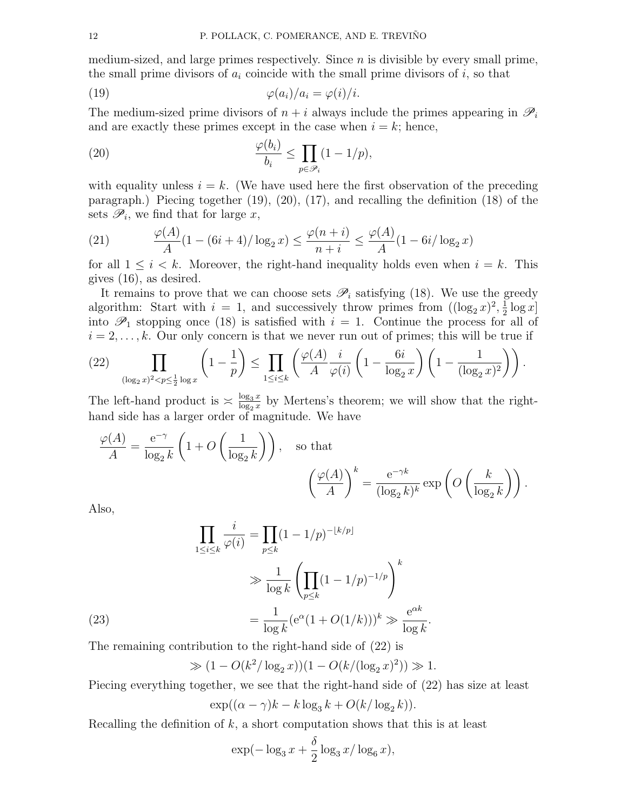medium-sized, and large primes respectively. Since  $n$  is divisible by every small prime, the small prime divisors of  $a_i$  coincide with the small prime divisors of i, so that

(19) 
$$
\varphi(a_i)/a_i = \varphi(i)/i.
$$

The medium-sized prime divisors of  $n + i$  always include the primes appearing in  $\mathscr{P}_i$ and are exactly these primes except in the case when  $i = k$ ; hence,

(20) 
$$
\frac{\varphi(b_i)}{b_i} \leq \prod_{p \in \mathscr{P}_i} (1 - 1/p),
$$

with equality unless  $i = k$ . (We have used here the first observation of the preceding paragraph.) Piecing together (19), (20), (17), and recalling the definition (18) of the sets  $\mathscr{P}_i$ , we find that for large x,

(21) 
$$
\frac{\varphi(A)}{A}(1 - (6i + 4)/\log_2 x) \le \frac{\varphi(n+i)}{n+i} \le \frac{\varphi(A)}{A}(1 - 6i/\log_2 x)
$$

for all  $1 \leq i \leq k$ . Moreover, the right-hand inequality holds even when  $i = k$ . This gives (16), as desired.

It remains to prove that we can choose sets  $\mathscr{P}_i$  satisfying (18). We use the greedy algorithm: Start with  $i = 1$ , and successively throw primes from  $((\log_2 x)^2, \frac{1}{2})$  $\frac{1}{2} \log x$ into  $\mathscr{P}_1$  stopping once (18) is satisfied with  $i = 1$ . Continue the process for all of  $i = 2, \ldots, k$ . Our only concern is that we never run out of primes; this will be true if

(22) 
$$
\prod_{(\log_2 x)^2 < p \leq \frac{1}{2} \log x} \left( 1 - \frac{1}{p} \right) \leq \prod_{1 \leq i \leq k} \left( \frac{\varphi(A)}{A} \frac{i}{\varphi(i)} \left( 1 - \frac{6i}{\log_2 x} \right) \left( 1 - \frac{1}{(\log_2 x)^2} \right) \right).
$$

The left-hand product is  $\frac{\log_3 x}{\log_3 x}$  $\frac{\log_3 x}{\log_2 x}$  by Mertens's theorem; we will show that the righthand side has a larger order of magnitude. We have

$$
\frac{\varphi(A)}{A} = \frac{e^{-\gamma}}{\log_2 k} \left( 1 + O\left(\frac{1}{\log_2 k}\right) \right), \text{ so that}
$$

$$
\left(\frac{\varphi(A)}{A}\right)^k = \frac{e^{-\gamma k}}{(\log_2 k)^k} \exp\left(O\left(\frac{k}{\log_2 k}\right)\right).
$$

Also,

(23)  
\n
$$
\prod_{1 \le i \le k} \frac{i}{\varphi(i)} = \prod_{p \le k} (1 - 1/p)^{-\lfloor k/p \rfloor}
$$
\n
$$
\gg \frac{1}{\log k} \left( \prod_{p \le k} (1 - 1/p)^{-1/p} \right)^k
$$
\n
$$
= \frac{1}{\log k} (e^{\alpha} (1 + O(1/k)))^k \gg \frac{e^{\alpha k}}{\log k}.
$$

The remaining contribution to the right-hand side of (22) is

$$
\gg (1 - O(k^2/\log_2 x))(1 - O(k/(\log_2 x)^2)) \gg 1.
$$

Piecing everything together, we see that the right-hand side of (22) has size at least

$$
\exp((\alpha - \gamma)k - k \log_3 k + O(k/\log_2 k)).
$$

Recalling the definition of  $k$ , a short computation shows that this is at least

$$
\exp(-\log_3 x + \frac{\delta}{2}\log_3 x/\log_6 x),
$$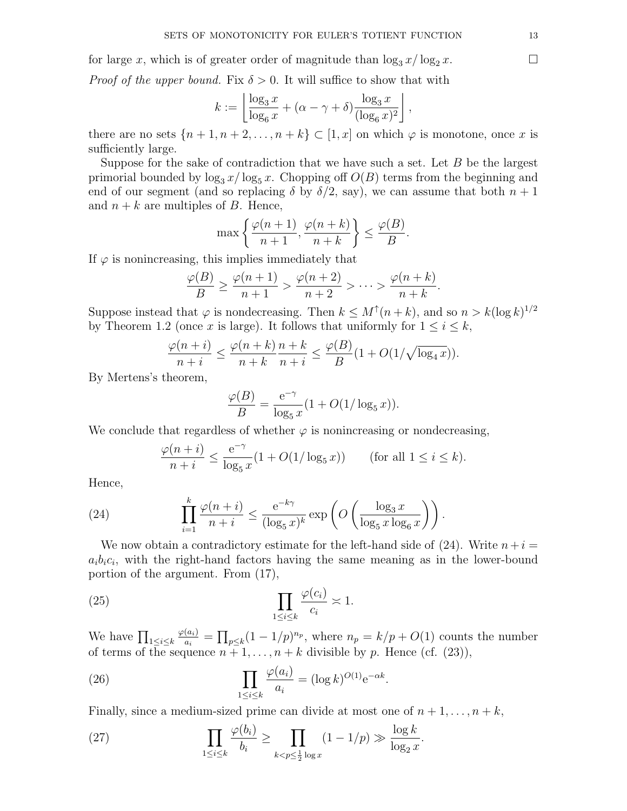for large x, which is of greater order of magnitude than  $\log_3 x / \log_2 x$ .

*Proof of the upper bound.* Fix  $\delta > 0$ . It will suffice to show that with

$$
k := \left\lfloor \frac{\log_3 x}{\log_6 x} + (\alpha - \gamma + \delta) \frac{\log_3 x}{(\log_6 x)^2} \right\rfloor,
$$

there are no sets  $\{n+1, n+2, \ldots, n+k\} \subset [1, x]$  on which  $\varphi$  is monotone, once x is sufficiently large.

Suppose for the sake of contradiction that we have such a set. Let  $B$  be the largest primorial bounded by  $\log_3 x / \log_5 x$ . Chopping off  $O(B)$  terms from the beginning and end of our segment (and so replacing  $\delta$  by  $\delta/2$ , say), we can assume that both  $n+1$ and  $n + k$  are multiples of B. Hence,

$$
\max\left\{\frac{\varphi(n+1)}{n+1}, \frac{\varphi(n+k)}{n+k}\right\} \le \frac{\varphi(B)}{B}.
$$

If  $\varphi$  is nonincreasing, this implies immediately that

$$
\frac{\varphi(B)}{B} \ge \frac{\varphi(n+1)}{n+1} > \frac{\varphi(n+2)}{n+2} > \dots > \frac{\varphi(n+k)}{n+k}
$$

.

Suppose instead that  $\varphi$  is nondecreasing. Then  $k \leq M^{\uparrow}(n+k)$ , and so  $n > k(\log k)^{1/2}$ by Theorem 1.2 (once x is large). It follows that uniformly for  $1 \leq i \leq k$ ,

$$
\frac{\varphi(n+i)}{n+i} \le \frac{\varphi(n+k)}{n+k} \frac{n+k}{n+i} \le \frac{\varphi(B)}{B} (1 + O(1/\sqrt{\log_4 x})).
$$

By Mertens's theorem,

$$
\frac{\varphi(B)}{B} = \frac{e^{-\gamma}}{\log_5 x} (1 + O(1/\log_5 x)).
$$

We conclude that regardless of whether  $\varphi$  is nonincreasing or nondecreasing,

$$
\frac{\varphi(n+i)}{n+i} \le \frac{e^{-\gamma}}{\log_5 x} (1 + O(1/\log_5 x)) \qquad \text{(for all } 1 \le i \le k).
$$

Hence,

(24) 
$$
\prod_{i=1}^{k} \frac{\varphi(n+i)}{n+i} \leq \frac{e^{-k\gamma}}{(\log_5 x)^k} \exp\left(O\left(\frac{\log_3 x}{\log_5 x \log_6 x}\right)\right).
$$

We now obtain a contradictory estimate for the left-hand side of  $(24)$ . Write  $n+i=$  $a_i b_i c_i$ , with the right-hand factors having the same meaning as in the lower-bound portion of the argument. From (17),

(25) 
$$
\prod_{1 \leq i \leq k} \frac{\varphi(c_i)}{c_i} \asymp 1.
$$

We have  $\prod_{1 \leq i \leq k}$  $\varphi(a_i)$  $\frac{(a_i)}{a_i} = \prod_{p \le k} (1 - 1/p)^{n_p}$ , where  $n_p = k/p + O(1)$  counts the number of terms of the sequence  $n+1, \ldots, n+k$  divisible by p. Hence (cf. (23)),

(26) 
$$
\prod_{1 \le i \le k} \frac{\varphi(a_i)}{a_i} = (\log k)^{O(1)} e^{-\alpha k}.
$$

Finally, since a medium-sized prime can divide at most one of  $n+1,\ldots,n+k$ ,

(27) 
$$
\prod_{1 \le i \le k} \frac{\varphi(b_i)}{b_i} \ge \prod_{k < p \le \frac{1}{2} \log x} (1 - 1/p) \gg \frac{\log k}{\log_2 x}.
$$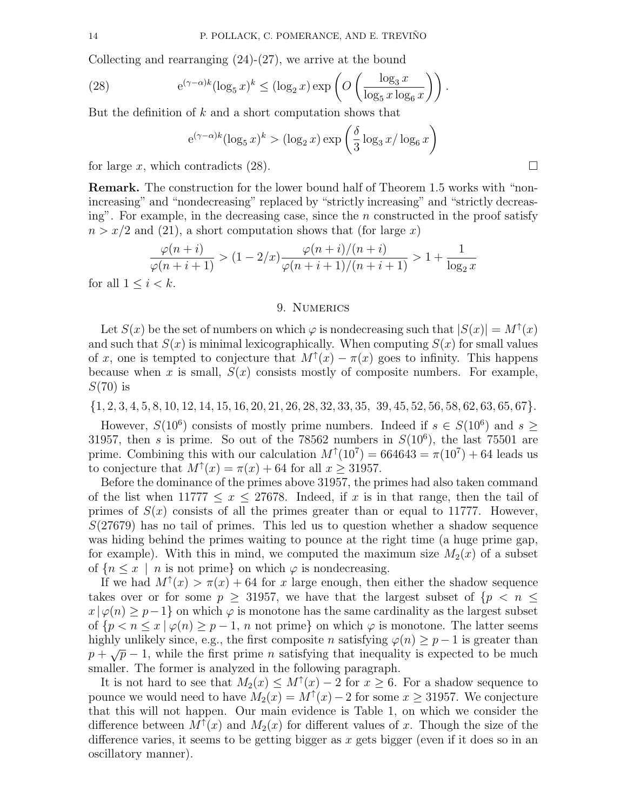Collecting and rearranging (24)-(27), we arrive at the bound

(28) 
$$
e^{(\gamma - \alpha)k} (\log_5 x)^k \leq (\log_2 x) \exp \left( O \left( \frac{\log_3 x}{\log_5 x \log_6 x} \right) \right).
$$

But the definition of  $k$  and a short computation shows that

$$
e^{(\gamma-\alpha)k}(\log_5 x)^k > (\log_2 x) \exp\left(\frac{\delta}{3}\log_3 x/\log_6 x\right)
$$

for large x, which contradicts (28).

Remark. The construction for the lower bound half of Theorem 1.5 works with "nonincreasing" and "nondecreasing" replaced by "strictly increasing" and "strictly decreasing". For example, in the decreasing case, since the n constructed in the proof satisfy  $n > x/2$  and (21), a short computation shows that (for large x)

$$
\frac{\varphi(n+i)}{\varphi(n+i+1)} > (1-2/x) \frac{\varphi(n+i)/(n+i)}{\varphi(n+i+1)/(n+i+1)} > 1 + \frac{1}{\log_2 x}
$$

for all  $1 \leq i < k$ .

### 9. NUMERICS

Let  $S(x)$  be the set of numbers on which  $\varphi$  is nondecreasing such that  $|S(x)| = M^{\uparrow}(x)$ and such that  $S(x)$  is minimal lexicographically. When computing  $S(x)$  for small values of x, one is tempted to conjecture that  $M^{\uparrow}(x) - \pi(x)$  goes to infinity. This happens because when x is small,  $S(x)$  consists mostly of composite numbers. For example,  $S(70)$  is

 $\{1, 2, 3, 4, 5, 8, 10, 12, 14, 15, 16, 20, 21, 26, 28, 32, 33, 35, 39, 45, 52, 56, 58, 62, 63, 65, 67\}.$ 

However,  $S(10^6)$  consists of mostly prime numbers. Indeed if  $s \in S(10^6)$  and  $s \geq$ 31957, then s is prime. So out of the 78562 numbers in  $S(10^6)$ , the last 75501 are prime. Combining this with our calculation  $M^{\uparrow}(10^7) = 664643 = \pi(10^7) + 64$  leads us to conjecture that  $M^{\uparrow}(x) = \pi(x) + 64$  for all  $x \ge 31957$ .

Before the dominance of the primes above 31957, the primes had also taken command of the list when  $11777 \leq x \leq 27678$ . Indeed, if x is in that range, then the tail of primes of  $S(x)$  consists of all the primes greater than or equal to 11777. However,  $S(27679)$  has no tail of primes. This led us to question whether a shadow sequence was hiding behind the primes waiting to pounce at the right time (a huge prime gap, for example). With this in mind, we computed the maximum size  $M_2(x)$  of a subset of  ${n \leq x \mid n \text{ is not prime}}$  on which  $\varphi$  is nondecreasing.

If we had  $M^{\uparrow}(x) > \pi(x) + 64$  for x large enough, then either the shadow sequence takes over or for some  $p > 31957$ , we have that the largest subset of  ${p \lt n \lt n}$  $x|\varphi(n) \geq p-1$  on which  $\varphi$  is monotone has the same cardinality as the largest subset of  ${p < n \leq x \mid \varphi(n) > p-1, n \text{ not prime}}$  on which  $\varphi$  is monotone. The latter seems highly unlikely since, e.g., the first composite n satisfying  $\varphi(n) \geq p-1$  is greater than mginy uninery since, e.g., the first composite *n* satisfying  $\varphi(n) \leq p-1$  is greater than  $p + \sqrt{p} - 1$ , while the first prime *n* satisfying that inequality is expected to be much smaller. The former is analyzed in the following paragraph.

It is not hard to see that  $M_2(x) \leq M^{\uparrow}(x) - 2$  for  $x \geq 6$ . For a shadow sequence to pounce we would need to have  $M_2(x) = M^{\uparrow}(x) - 2$  for some  $x \ge 31957$ . We conjecture that this will not happen. Our main evidence is Table 1, on which we consider the difference between  $M^{\dagger}(x)$  and  $M_2(x)$  for different values of x. Though the size of the difference varies, it seems to be getting bigger as x gets bigger (even if it does so in an oscillatory manner).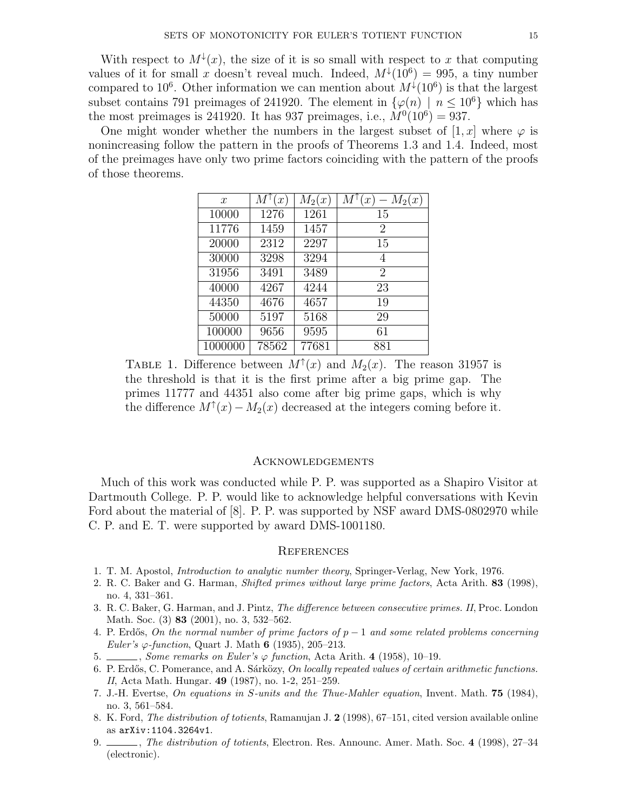With respect to  $M^{\downarrow}(x)$ , the size of it is so small with respect to x that computing values of it for small x doesn't reveal much. Indeed,  $M^{\downarrow}(10^6) = 995$ , a tiny number compared to 10<sup>6</sup>. Other information we can mention about  $M^{\downarrow}(10^6)$  is that the largest subset contains 791 preimages of 241920. The element in  $\{\varphi(n) \mid n \leq 10^6\}$  which has the most preimages is 241920. It has 937 preimages, i.e.,  $M^0(10^6) = 937$ .

One might wonder whether the numbers in the largest subset of  $[1, x]$  where  $\varphi$  is nonincreasing follow the pattern in the proofs of Theorems 1.3 and 1.4. Indeed, most of the preimages have only two prime factors coinciding with the pattern of the proofs of those theorems.

| $\mathcal{X}$ | $M^{\scriptscriptstyle{\text{T}}}$<br>(x) | $M_2(x)$ | $M^{\cdot}$<br>$-M_2(x)$<br>(x) |
|---------------|-------------------------------------------|----------|---------------------------------|
| 10000         | 1276                                      | 1261     | 15                              |
| 11776         | 1459                                      | 1457     | $\overline{2}$                  |
| 20000         | 2312                                      | 2297     | 15                              |
| 30000         | 3298                                      | 3294     | 4                               |
| 31956         | 3491                                      | 3489     | $\overline{2}$                  |
| 40000         | 4267                                      | 4244     | 23                              |
| 44350         | 4676                                      | 4657     | 19                              |
| 50000         | 5197                                      | 5168     | 29                              |
| 100000        | 9656                                      | 9595     | 61                              |
| 1000000       | 78562                                     | 77681    | 881                             |

TABLE 1. Difference between  $M^{\dagger}(x)$  and  $M_2(x)$ . The reason 31957 is the threshold is that it is the first prime after a big prime gap. The primes 11777 and 44351 also come after big prime gaps, which is why the difference  $M^{\uparrow}(x) - M_2(x)$  decreased at the integers coming before it.

## **ACKNOWLEDGEMENTS**

Much of this work was conducted while P. P. was supported as a Shapiro Visitor at Dartmouth College. P. P. would like to acknowledge helpful conversations with Kevin Ford about the material of [8]. P. P. was supported by NSF award DMS-0802970 while C. P. and E. T. were supported by award DMS-1001180.

## **REFERENCES**

- 1. T. M. Apostol, Introduction to analytic number theory, Springer-Verlag, New York, 1976.
- 2. R. C. Baker and G. Harman, Shifted primes without large prime factors, Acta Arith. 83 (1998), no. 4, 331–361.
- 3. R. C. Baker, G. Harman, and J. Pintz, The difference between consecutive primes. II, Proc. London Math. Soc. (3) 83 (2001), no. 3, 532–562.
- 4. P. Erdős, On the normal number of prime factors of  $p-1$  and some related problems concerning Euler's  $\varphi$ -function, Quart J. Math 6 (1935), 205–213.
- 5. , Some remarks on Euler's  $\varphi$  function, Acta Arith. 4 (1958), 10-19.
- 6. P. Erdős, C. Pomerance, and A. Sárközy, On locally repeated values of certain arithmetic functions. II, Acta Math. Hungar. 49 (1987), no. 1-2, 251–259.
- 7. J.-H. Evertse, On equations in S-units and the Thue-Mahler equation, Invent. Math. 75 (1984), no. 3, 561–584.
- 8. K. Ford, The distribution of totients, Ramanujan J. 2 (1998), 67–151, cited version available online as arXiv:1104.3264v1.
- 9. , The distribution of totients, Electron. Res. Announc. Amer. Math. Soc. 4 (1998), 27–34 (electronic).